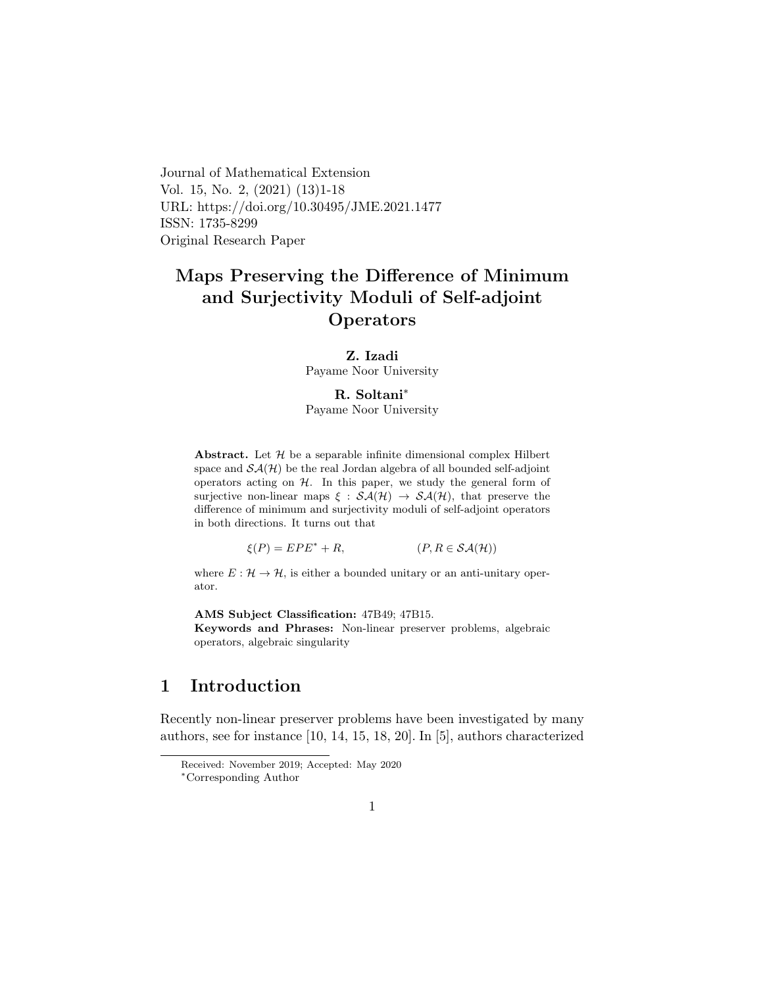Journal of Mathematical Extension Vol. 15, No. 2, (2021) (13)1-18 URL: https://doi.org/10.30495/JME.2021.1477 ISSN: 1735-8299 Original Research Paper

# Maps Preserving the Difference of Minimum and Surjectivity Moduli of Self-adjoint **Operators**

### Z. Izadi

Payame Noor University

#### R. Soltani[∗](#page-0-0)

Payame Noor University

Abstract. Let  $\mathcal H$  be a separable infinite dimensional complex Hilbert space and  $\mathcal{SA}(\mathcal{H})$  be the real Jordan algebra of all bounded self-adjoint operators acting on  $H$ . In this paper, we study the general form of surjective non-linear maps  $\xi : \mathcal{SA}(\mathcal{H}) \to \mathcal{SA}(\mathcal{H})$ , that preserve the difference of minimum and surjectivity moduli of self-adjoint operators in both directions. It turns out that

 $\xi(P) = EPE^* + R,$  (P, R  $\in \mathcal{SA}(\mathcal{H})$ )

where  $E: \mathcal{H} \to \mathcal{H}$ , is either a bounded unitary or an anti-unitary operator.

AMS Subject Classification: 47B49; 47B15.

Keywords and Phrases: Non-linear preserver problems, algebraic operators, algebraic singularity

## 1 Introduction

Recently non-linear preserver problems have been investigated by many authors, see for instance [10, 14, 15, 18, 20]. In [5], authors characterized

Received: November 2019; Accepted: May 2020

<span id="page-0-0"></span><sup>∗</sup>Corresponding Author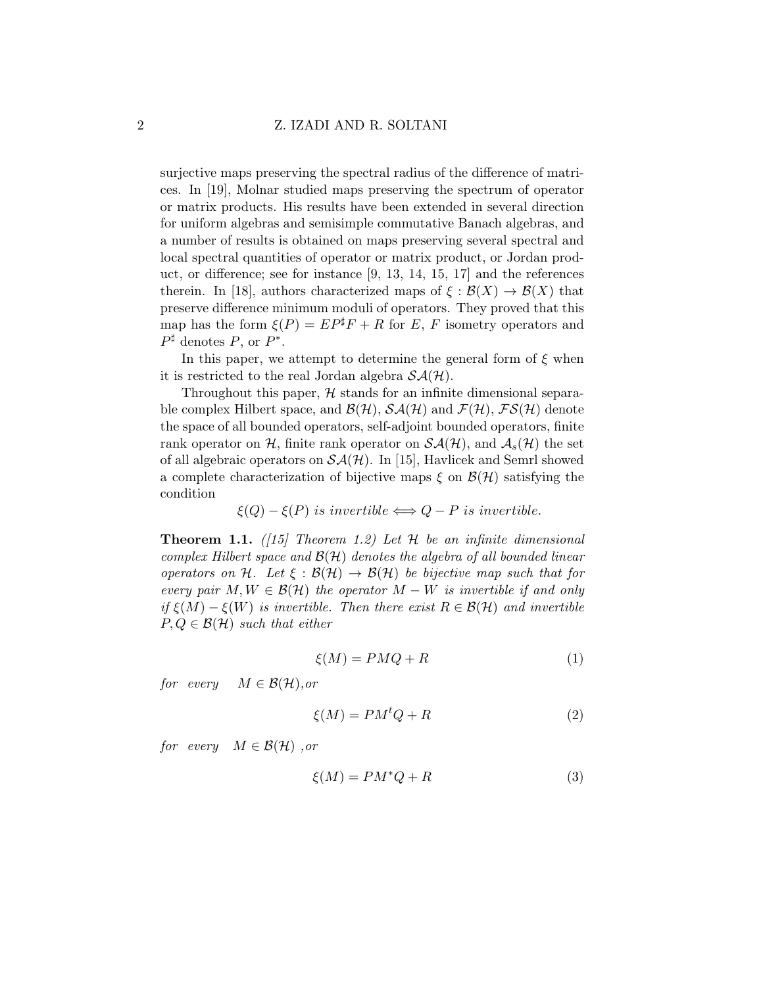surjective maps preserving the spectral radius of the difference of matrices. In [19], Molnar studied maps preserving the spectrum of operator or matrix products. His results have been extended in several direction for uniform algebras and semisimple commutative Banach algebras, and a number of results is obtained on maps preserving several spectral and local spectral quantities of operator or matrix product, or Jordan product, or difference; see for instance [9, 13, 14, 15, 17] and the references therein. In [18], authors characterized maps of  $\xi : \mathcal{B}(X) \to \mathcal{B}(X)$  that preserve difference minimum moduli of operators. They proved that this map has the form  $\xi(P) = EP^{\sharp}F + R$  for E, F isometry operators and  $P^{\sharp}$  denotes P, or  $P^*$ .

In this paper, we attempt to determine the general form of  $\xi$  when it is restricted to the real Jordan algebra  $\mathcal{SA}(\mathcal{H})$ .

Throughout this paper,  $H$  stands for an infinite dimensional separable complex Hilbert space, and  $\mathcal{B}(\mathcal{H})$ ,  $\mathcal{S}\mathcal{A}(\mathcal{H})$  and  $\mathcal{F}(\mathcal{H})$ ,  $\mathcal{F}\mathcal{S}(\mathcal{H})$  denote the space of all bounded operators, self-adjoint bounded operators, finite rank operator on H, finite rank operator on  $\mathcal{SA}(\mathcal{H})$ , and  $\mathcal{A}_{s}(\mathcal{H})$  the set of all algebraic operators on  $\mathcal{SA}(\mathcal{H})$ . In [15], Havlicek and Semrl showed a complete characterization of bijective maps  $\xi$  on  $\mathcal{B}(\mathcal{H})$  satisfying the condition

$$
\xi(Q) - \xi(P) \text{ is invertible} \Longleftrightarrow Q - P \text{ is invertible.}
$$

**Theorem 1.1.** ([15] Theorem 1.2) Let  $H$  be an infinite dimensional complex Hilbert space and  $\mathcal{B}(\mathcal{H})$  denotes the algebra of all bounded linear operators on H. Let  $\xi : \mathcal{B}(\mathcal{H}) \to \mathcal{B}(\mathcal{H})$  be bijective map such that for every pair  $M, W \in \mathcal{B}(\mathcal{H})$  the operator  $M - W$  is invertible if and only if  $\xi(M) - \xi(W)$  is invertible. Then there exist  $R \in \mathcal{B}(\mathcal{H})$  and invertible  $P, Q \in \mathcal{B}(\mathcal{H})$  such that either

$$
\xi(M) = PMQ + R \tag{1}
$$

for every  $M \in \mathcal{B}(\mathcal{H}),$  or

$$
\xi(M) = PM^tQ + R \tag{2}
$$

for every  $M \in \mathcal{B}(\mathcal{H})$ , or

$$
\xi(M) = PM^*Q + R \tag{3}
$$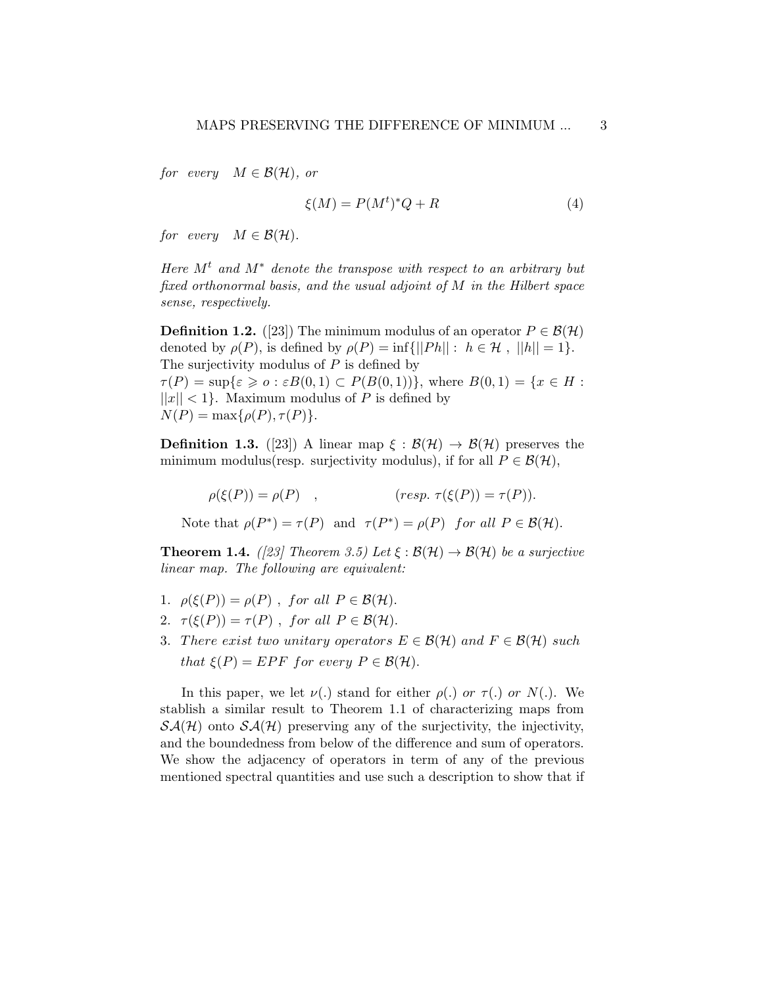for every  $M \in \mathcal{B}(\mathcal{H})$ , or

$$
\xi(M) = P(M^t)^* Q + R \tag{4}
$$

for every  $M \in \mathcal{B}(\mathcal{H})$ .

Here  $M<sup>t</sup>$  and  $M<sup>*</sup>$  denote the transpose with respect to an arbitrary but fixed orthonormal basis, and the usual adjoint of M in the Hilbert space sense, respectively.

**Definition 1.2.** ([23]) The minimum modulus of an operator  $P \in \mathcal{B}(\mathcal{H})$ denoted by  $\rho(P)$ , is defined by  $\rho(P) = \inf \{ ||Ph|| : h \in \mathcal{H}$ ,  $||h|| = 1 \}.$ The surjectivity modulus of  $P$  is defined by  $\tau(P) = \sup \{ \varepsilon \geq 0 : \varepsilon B(0,1) \subset P(B(0,1)) \}$ , where  $B(0,1) = \{ x \in H :$  $||x|| < 1$ . Maximum modulus of P is defined by  $N(P) = \max\{\rho(P), \tau(P)\}.$ 

**Definition 1.3.** ([23]) A linear map  $\xi : \mathcal{B}(\mathcal{H}) \to \mathcal{B}(\mathcal{H})$  preserves the minimum modulus(resp. surjectivity modulus), if for all  $P \in \mathcal{B}(\mathcal{H})$ ,

 $\rho(\xi(P)) = \rho(P)$ , (resp.  $\tau(\xi(P)) = \tau(P)$ ).

Note that  $\rho(P^*) = \tau(P)$  and  $\tau(P^*) = \rho(P)$  for all  $P \in \mathcal{B}(\mathcal{H})$ .

**Theorem 1.4.** ([23] Theorem 3.5) Let  $\xi : \mathcal{B}(\mathcal{H}) \to \mathcal{B}(\mathcal{H})$  be a surjective linear map. The following are equivalent:

- 1.  $\rho(\xi(P)) = \rho(P)$ , for all  $P \in \mathcal{B}(\mathcal{H})$ .
- 2.  $\tau(\xi(P)) = \tau(P)$ , for all  $P \in \mathcal{B}(\mathcal{H})$ .
- 3. There exist two unitary operators  $E \in \mathcal{B}(\mathcal{H})$  and  $F \in \mathcal{B}(\mathcal{H})$  such that  $\xi(P) = EPF$  for every  $P \in \mathcal{B}(\mathcal{H})$ .

In this paper, we let  $\nu(.)$  stand for either  $\rho(.)$  or  $\tau(.)$  or  $N(.)$ . We stablish a similar result to Theorem 1.1 of characterizing maps from  $\mathcal{SA}(\mathcal{H})$  onto  $\mathcal{SA}(\mathcal{H})$  preserving any of the surjectivity, the injectivity, and the boundedness from below of the difference and sum of operators. We show the adjacency of operators in term of any of the previous mentioned spectral quantities and use such a description to show that if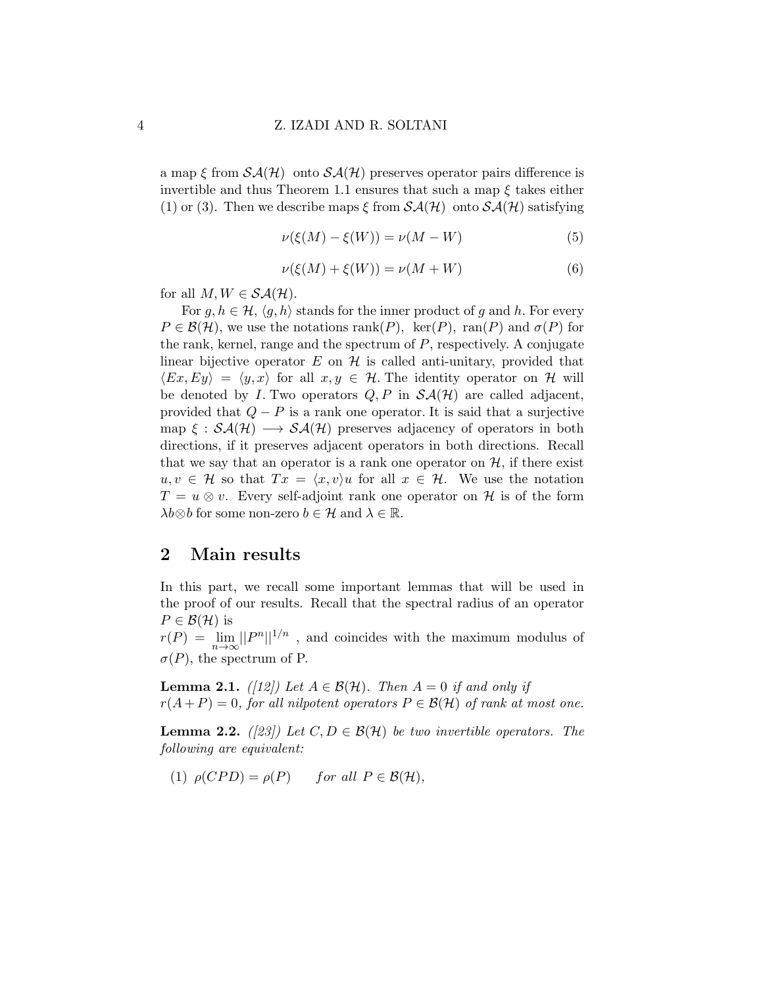a map  $\xi$  from  $\mathcal{SA}(\mathcal{H})$  onto  $\mathcal{SA}(\mathcal{H})$  preserves operator pairs difference is invertible and thus Theorem 1.1 ensures that such a map  $\xi$  takes either (1) or (3). Then we describe maps  $\xi$  from  $\mathcal{SA}(\mathcal{H})$  onto  $\mathcal{SA}(\mathcal{H})$  satisfying

$$
\nu(\xi(M) - \xi(W)) = \nu(M - W) \tag{5}
$$

$$
\nu(\xi(M) + \xi(W)) = \nu(M + W) \tag{6}
$$

for all  $M, W \in \mathcal{SA}(\mathcal{H})$ .

For  $g, h \in \mathcal{H}, \langle g, h \rangle$  stands for the inner product of g and h. For every  $P \in \mathcal{B}(\mathcal{H})$ , we use the notations rank(P), ker(P), ran(P) and  $\sigma(P)$  for the rank, kernel, range and the spectrum of  $P$ , respectively. A conjugate linear bijective operator  $E$  on  $H$  is called anti-unitary, provided that  $\langle Ex, Ey \rangle = \langle y, x \rangle$  for all  $x, y \in \mathcal{H}$ . The identity operator on H will be denoted by I. Two operators  $Q, P$  in  $\mathcal{SA}(\mathcal{H})$  are called adjacent, provided that  $Q - P$  is a rank one operator. It is said that a surjective map  $\xi : S\mathcal{A}(\mathcal{H}) \longrightarrow S\mathcal{A}(\mathcal{H})$  preserves adjacency of operators in both directions, if it preserves adjacent operators in both directions. Recall that we say that an operator is a rank one operator on  $H$ , if there exist  $u, v \in \mathcal{H}$  so that  $Tx = \langle x, v \rangle u$  for all  $x \in \mathcal{H}$ . We use the notation  $T = u \otimes v$ . Every self-adjoint rank one operator on H is of the form  $\lambda b \otimes b$  for some non-zero  $b \in \mathcal{H}$  and  $\lambda \in \mathbb{R}$ .

### 2 Main results

In this part, we recall some important lemmas that will be used in the proof of our results. Recall that the spectral radius of an operator  $P \in \mathcal{B}(\mathcal{H})$  is

 $r(P) = \lim_{n \to \infty} ||P^n||^{1/n}$ , and coincides with the maximum modulus of  $\sigma(P)$ , the spectrum of P.

**Lemma 2.1.** ([12]) Let  $A \in \mathcal{B}(\mathcal{H})$ . Then  $A = 0$  if and only if  $r(A+P) = 0$ , for all nilpotent operators  $P \in \mathcal{B}(\mathcal{H})$  of rank at most one.

**Lemma 2.2.** ([23]) Let  $C, D \in \mathcal{B}(\mathcal{H})$  be two invertible operators. The following are equivalent:

(1) 
$$
\rho(CPD) = \rho(P)
$$
 for all  $P \in \mathcal{B}(\mathcal{H}),$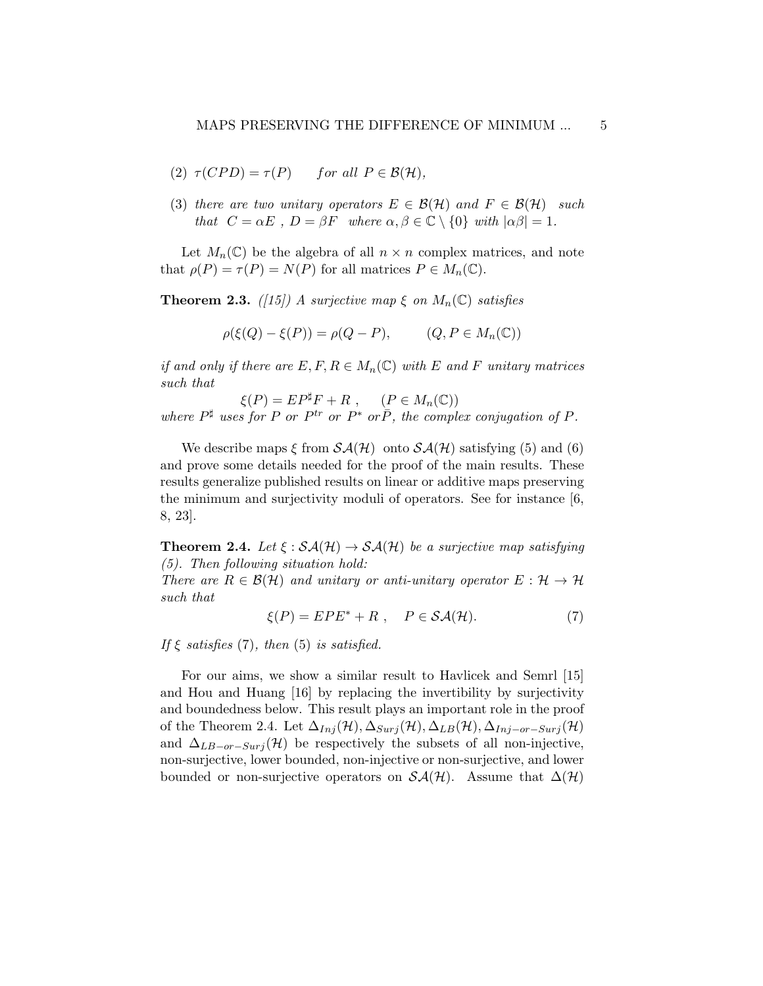(2) 
$$
\tau(CPD) = \tau(P)
$$
 for all  $P \in \mathcal{B}(\mathcal{H}),$ 

(3) there are two unitary operators  $E \in \mathcal{B}(\mathcal{H})$  and  $F \in \mathcal{B}(\mathcal{H})$  such that  $C = \alpha E$ ,  $D = \beta F$  where  $\alpha, \beta \in \mathbb{C} \setminus \{0\}$  with  $|\alpha \beta| = 1$ .

Let  $M_n(\mathbb{C})$  be the algebra of all  $n \times n$  complex matrices, and note that  $\rho(P) = \tau(P) = N(P)$  for all matrices  $P \in M_n(\mathbb{C})$ .

**Theorem 2.3.** ([15]) A surjective map  $\xi$  on  $M_n(\mathbb{C})$  satisfies

$$
\rho(\xi(Q) - \xi(P)) = \rho(Q - P), \qquad (Q, P \in M_n(\mathbb{C}))
$$

if and only if there are  $E, F, R \in M_n(\mathbb{C})$  with E and F unitary matrices such that

 $\xi(P) = E P^{\sharp} F + R$ ,  $(P \in M_n(\mathbb{C}))$ where  $P^{\sharp}$  uses for P or  $P^{tr}$  or  $P^*$  or  $\overline{P}$ , the complex conjugation of P.

We describe maps  $\xi$  from  $\mathcal{SA}(\mathcal{H})$  onto  $\mathcal{SA}(\mathcal{H})$  satisfying (5) and (6) and prove some details needed for the proof of the main results. These results generalize published results on linear or additive maps preserving the minimum and surjectivity moduli of operators. See for instance [6, 8, 23].

**Theorem 2.4.** Let  $\xi : \mathcal{SA}(\mathcal{H}) \to \mathcal{SA}(\mathcal{H})$  be a surjective map satisfying (5). Then following situation hold:

There are  $R \in \mathcal{B}(\mathcal{H})$  and unitary or anti-unitary operator  $E : \mathcal{H} \to \mathcal{H}$ such that

$$
\xi(P) = EPE^* + R \ , \quad P \in \mathcal{SA}(\mathcal{H}). \tag{7}
$$

If  $\xi$  satisfies (7), then (5) is satisfied.

For our aims, we show a similar result to Havlicek and Semrl [15] and Hou and Huang [16] by replacing the invertibility by surjectivity and boundedness below. This result plays an important role in the proof of the Theorem 2.4. Let  $\Delta_{Inj}(\mathcal{H}), \Delta_{Surj}(\mathcal{H}), \Delta_{LB}(\mathcal{H}), \Delta_{Inj-or-Surj}(\mathcal{H})$ and  $\Delta_{LB-or-Surj}(\mathcal{H})$  be respectively the subsets of all non-injective, non-surjective, lower bounded, non-injective or non-surjective, and lower bounded or non-surjective operators on  $\mathcal{SA}(\mathcal{H})$ . Assume that  $\Delta(\mathcal{H})$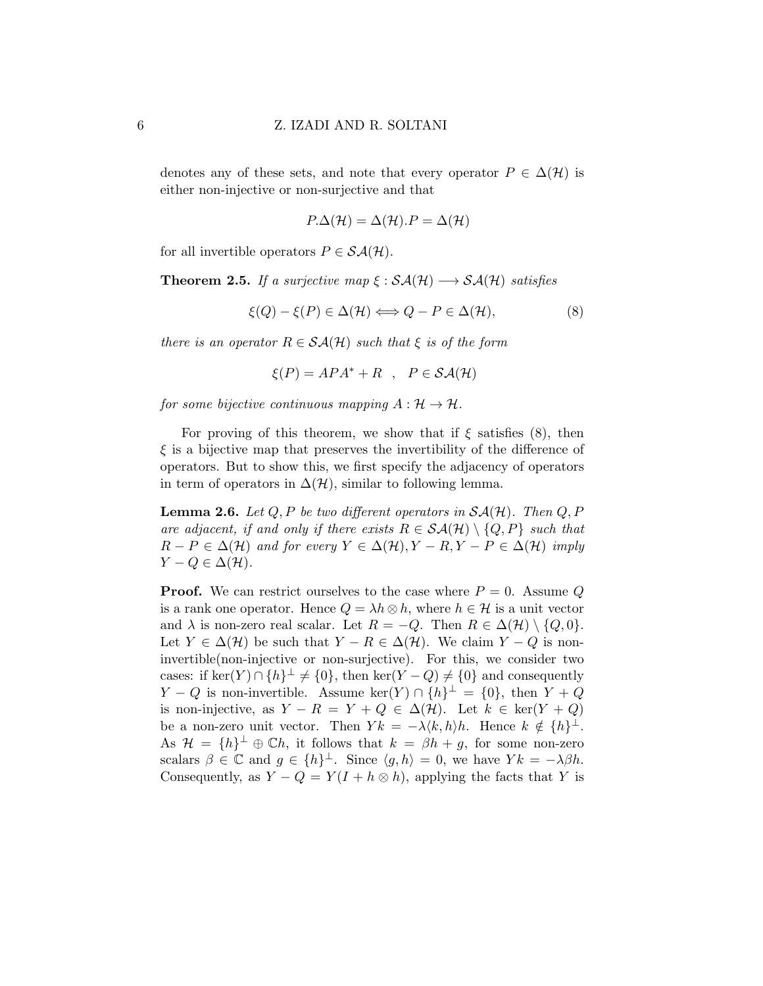denotes any of these sets, and note that every operator  $P \in \Delta(\mathcal{H})$  is either non-injective or non-surjective and that

$$
P.\Delta(\mathcal{H}) = \Delta(\mathcal{H}).P = \Delta(\mathcal{H})
$$

for all invertible operators  $P \in \mathcal{SA}(\mathcal{H})$ .

**Theorem 2.5.** If a surjective map  $\xi : \mathcal{SA}(\mathcal{H}) \longrightarrow \mathcal{SA}(\mathcal{H})$  satisfies

$$
\xi(Q) - \xi(P) \in \Delta(\mathcal{H}) \Longleftrightarrow Q - P \in \Delta(\mathcal{H}),\tag{8}
$$

there is an operator  $R \in \mathcal{SA}(\mathcal{H})$  such that  $\xi$  is of the form

$$
\xi(P) = APA^* + R \quad , \quad P \in \mathcal{SA}(\mathcal{H})
$$

for some bijective continuous mapping  $A: \mathcal{H} \to \mathcal{H}$ .

For proving of this theorem, we show that if  $\xi$  satisfies (8), then  $\xi$  is a bijective map that preserves the invertibility of the difference of operators. But to show this, we first specify the adjacency of operators in term of operators in  $\Delta(\mathcal{H})$ , similar to following lemma.

**Lemma 2.6.** Let  $Q, P$  be two different operators in  $\mathcal{SA}(\mathcal{H})$ . Then  $Q, P$ are adjacent, if and only if there exists  $R \in \mathcal{SA}(\mathcal{H}) \setminus \{Q, P\}$  such that  $R - P \in \Delta(\mathcal{H})$  and for every  $Y \in \Delta(\mathcal{H}), Y - R, Y - P \in \Delta(\mathcal{H})$  imply  $Y - Q \in \Delta(\mathcal{H}).$ 

**Proof.** We can restrict ourselves to the case where  $P = 0$ . Assume Q is a rank one operator. Hence  $Q = \lambda h \otimes h$ , where  $h \in \mathcal{H}$  is a unit vector and  $\lambda$  is non-zero real scalar. Let  $R = -Q$ . Then  $R \in \Delta(\mathcal{H}) \setminus \{Q, 0\}.$ Let  $Y \in \Delta(\mathcal{H})$  be such that  $Y - R \in \Delta(\mathcal{H})$ . We claim  $Y - Q$  is noninvertible(non-injective or non-surjective). For this, we consider two cases: if ker(Y) ∩ { $h$ }<sup> $\perp$ </sup>  $\neq$  {0}, then ker(Y – Q)  $\neq$  {0} and consequently  $Y - Q$  is non-invertible. Assume  $\ker(Y) \cap \{h\}^{\perp} = \{0\}$ , then  $Y + Q$ is non-injective, as  $Y - R = Y + Q \in \Delta(\mathcal{H})$ . Let  $k \in \text{ker}(Y + Q)$ be a non-zero unit vector. Then  $Yk = -\lambda \langle k, h \rangle h$ . Hence  $k \notin \{h\}^{\perp}$ . As  $\mathcal{H} = \{h\}^{\perp} \oplus \mathbb{C}h$ , it follows that  $k = \beta h + g$ , for some non-zero scalars  $\beta \in \mathbb{C}$  and  $g \in \{h\}^{\perp}$ . Since  $\langle g, h \rangle = 0$ , we have  $Yk = -\lambda \beta h$ . Consequently, as  $Y - Q = Y(I + h \otimes h)$ , applying the facts that Y is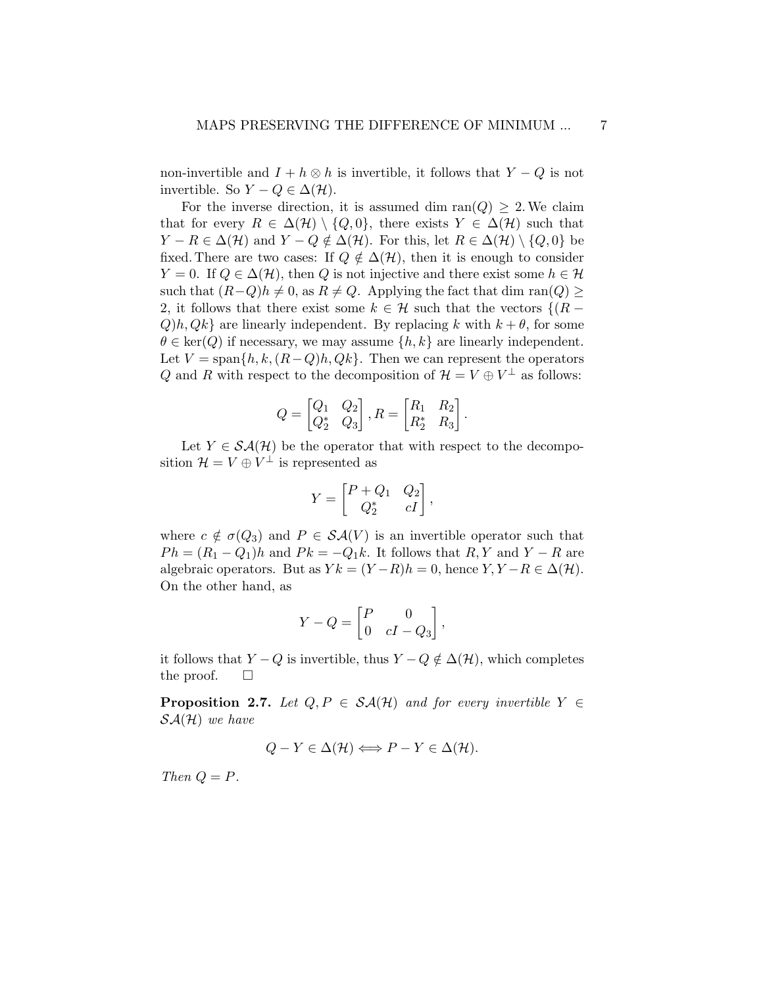non-invertible and  $I + h \otimes h$  is invertible, it follows that  $Y - Q$  is not invertible. So  $Y - Q \in \Delta(\mathcal{H})$ .

For the inverse direction, it is assumed dim ran( $Q$ )  $\geq$  2. We claim that for every  $R \in \Delta(\mathcal{H}) \setminus \{Q, 0\}$ , there exists  $Y \in \Delta(\mathcal{H})$  such that  $Y - R \in \Delta(\mathcal{H})$  and  $Y - Q \notin \Delta(\mathcal{H})$ . For this, let  $R \in \Delta(\mathcal{H}) \setminus \{Q, 0\}$  be fixed. There are two cases: If  $Q \notin \Delta(\mathcal{H})$ , then it is enough to consider  $Y = 0$ . If  $Q \in \Delta(\mathcal{H})$ , then Q is not injective and there exist some  $h \in \mathcal{H}$ such that  $(R-Q)h \neq 0$ , as  $R \neq Q$ . Applying the fact that dim ran $(Q) \geq$ 2, it follows that there exist some  $k \in \mathcal{H}$  such that the vectors  $\{(R Q$ )h,  $Qk$  are linearly independent. By replacing k with  $k + \theta$ , for some  $\theta \in \text{ker}(Q)$  if necessary, we may assume  $\{h, k\}$  are linearly independent. Let  $V = \text{span}\{h, k, (R-Q)h, Qk\}$ . Then we can represent the operators Q and R with respect to the decomposition of  $\mathcal{H} = V \oplus V^{\perp}$  as follows:

$$
Q = \begin{bmatrix} Q_1 & Q_2 \\ Q_2^* & Q_3 \end{bmatrix}, R = \begin{bmatrix} R_1 & R_2 \\ R_2^* & R_3 \end{bmatrix}.
$$

Let  $Y \in \mathcal{SA}(\mathcal{H})$  be the operator that with respect to the decomposition  $\mathcal{H} = V \oplus V^{\perp}$  is represented as

$$
Y = \begin{bmatrix} P + Q_1 & Q_2 \\ Q_2^* & cI \end{bmatrix},
$$

where  $c \notin \sigma(Q_3)$  and  $P \in \mathcal{SA}(V)$  is an invertible operator such that  $Ph = (R_1 - Q_1)h$  and  $Pk = -Q_1k$ . It follows that  $R, Y$  and  $Y - R$  are algebraic operators. But as  $Yk = (Y - R)h = 0$ , hence  $Y, Y - R \in \Delta(\mathcal{H})$ . On the other hand, as

$$
Y - Q = \begin{bmatrix} P & 0 \\ 0 & cI - Q_3 \end{bmatrix},
$$

it follows that  $Y - Q$  is invertible, thus  $Y - Q \notin \Delta(\mathcal{H})$ , which completes the proof.  $\square$ 

**Proposition 2.7.** Let  $Q, P \in \mathcal{SA}(\mathcal{H})$  and for every invertible  $Y \in$  $\mathcal{SA}(\mathcal{H})$  we have

$$
Q - Y \in \Delta(\mathcal{H}) \Longleftrightarrow P - Y \in \Delta(\mathcal{H}).
$$

Then  $Q = P$ .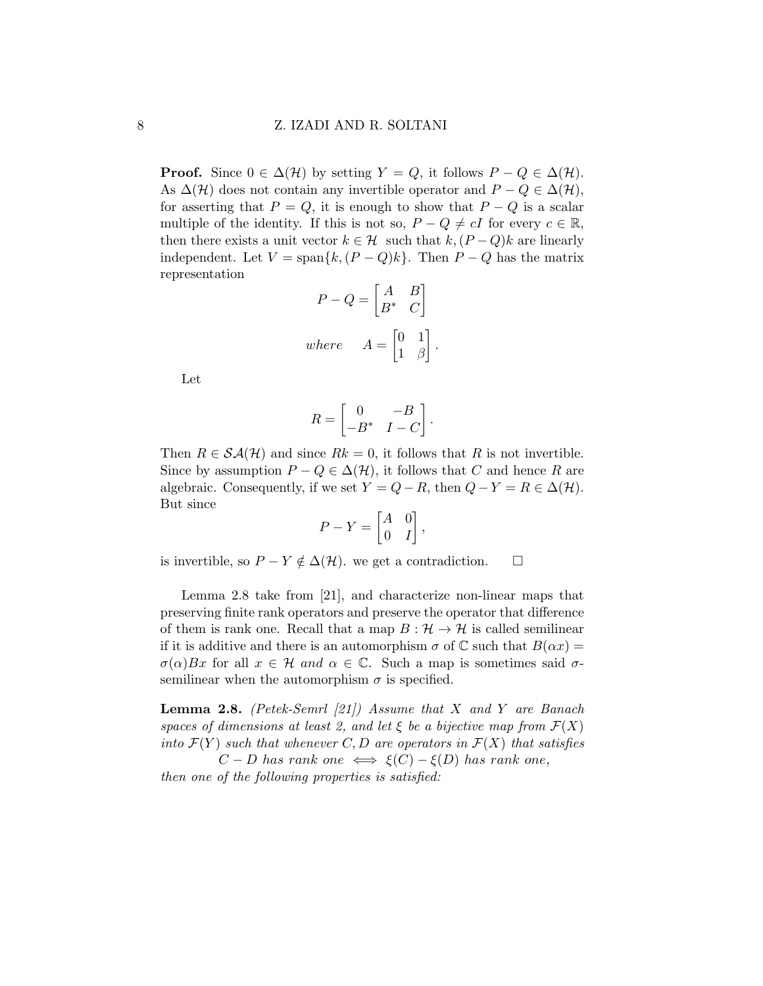**Proof.** Since  $0 \in \Delta(\mathcal{H})$  by setting  $Y = Q$ , it follows  $P - Q \in \Delta(\mathcal{H})$ . As  $\Delta(\mathcal{H})$  does not contain any invertible operator and  $P - Q \in \Delta(\mathcal{H}),$ for asserting that  $P = Q$ , it is enough to show that  $P - Q$  is a scalar multiple of the identity. If this is not so,  $P - Q \neq cI$  for every  $c \in \mathbb{R}$ , then there exists a unit vector  $k \in \mathcal{H}$  such that  $k,(P-Q)k$  are linearly independent. Let  $V = \text{span}\{k,(P - Q)k\}$ . Then  $P - Q$  has the matrix representation

$$
P - Q = \begin{bmatrix} A & B \\ B^* & C \end{bmatrix}
$$
  
where 
$$
A = \begin{bmatrix} 0 & 1 \\ 1 & \beta \end{bmatrix}.
$$

Let

$$
R = \begin{bmatrix} 0 & -B \\ -B^* & I - C \end{bmatrix}.
$$

Then  $R \in \mathcal{SA}(\mathcal{H})$  and since  $Rk = 0$ , it follows that R is not invertible. Since by assumption  $P - Q \in \Delta(\mathcal{H})$ , it follows that C and hence R are algebraic. Consequently, if we set  $Y = Q - R$ , then  $Q - Y = R \in \Delta(\mathcal{H})$ . But since

$$
P - Y = \begin{bmatrix} A & 0 \\ 0 & I \end{bmatrix},
$$

is invertible, so  $P - Y \notin \Delta(\mathcal{H})$ . we get a contradiction.  $□$ 

Lemma 2.8 take from [21], and characterize non-linear maps that preserving finite rank operators and preserve the operator that difference of them is rank one. Recall that a map  $B : \mathcal{H} \to \mathcal{H}$  is called semilinear if it is additive and there is an automorphism  $\sigma$  of C such that  $B(\alpha x) =$  $\sigma(\alpha)Bx$  for all  $x \in \mathcal{H}$  and  $\alpha \in \mathbb{C}$ . Such a map is sometimes said  $\sigma$ semilinear when the automorphism  $\sigma$  is specified.

**Lemma 2.8.** (Petek-Semrl [21]) Assume that X and Y are Banach spaces of dimensions at least 2, and let  $\xi$  be a bijective map from  $\mathcal{F}(X)$ into  $\mathcal{F}(Y)$  such that whenever C, D are operators in  $\mathcal{F}(X)$  that satisfies  $C - D$  has rank one  $\iff \xi(C) - \xi(D)$  has rank one,

then one of the following properties is satisfied: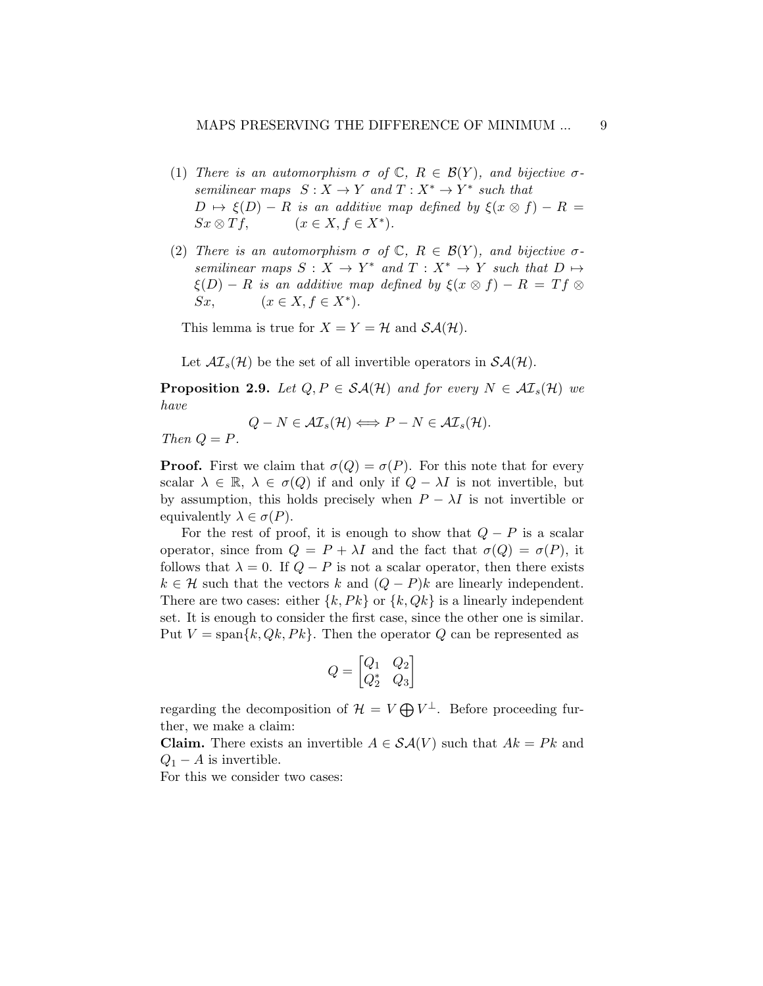- (1) There is an automorphism  $\sigma$  of  $\mathbb{C}, R \in \mathcal{B}(Y)$ , and bijective  $\sigma$ semilinear maps  $S: X \to Y$  and  $T: X^* \to Y^*$  such that  $D \mapsto \xi(D) - R$  is an additive map defined by  $\xi(x \otimes f) - R =$  $Sx \otimes Tf$ ,  $(x \in X, f \in X^*)$ .
- (2) There is an automorphism  $\sigma$  of  $\mathbb{C}, R \in \mathcal{B}(Y)$ , and bijective  $\sigma$ semilinear maps  $S: X \to Y^*$  and  $T: X^* \to Y$  such that  $D \mapsto$  $\xi(D) - R$  is an additive map defined by  $\xi(x \otimes f) - R = Tf \otimes$ Sx,  $(x \in X, f \in X^*)$ .

This lemma is true for  $X = Y = \mathcal{H}$  and  $\mathcal{SA}(\mathcal{H})$ .

Let  $\mathcal{AI}_s(\mathcal{H})$  be the set of all invertible operators in  $\mathcal{SA}(\mathcal{H})$ .

**Proposition 2.9.** Let  $Q, P \in \mathcal{SA}(\mathcal{H})$  and for every  $N \in \mathcal{AI}_s(\mathcal{H})$  we have

 $Q - N \in \mathcal{AI}_s(\mathcal{H}) \Longleftrightarrow P - N \in \mathcal{AI}_s(\mathcal{H}).$ Then  $Q = P$ .

**Proof.** First we claim that  $\sigma(Q) = \sigma(P)$ . For this note that for every scalar  $\lambda \in \mathbb{R}, \lambda \in \sigma(Q)$  if and only if  $Q - \lambda I$  is not invertible, but by assumption, this holds precisely when  $P - \lambda I$  is not invertible or equivalently  $\lambda \in \sigma(P)$ .

For the rest of proof, it is enough to show that  $Q - P$  is a scalar operator, since from  $Q = P + \lambda I$  and the fact that  $\sigma(Q) = \sigma(P)$ , it follows that  $\lambda = 0$ . If  $Q - P$  is not a scalar operator, then there exists  $k \in \mathcal{H}$  such that the vectors k and  $(Q - P)k$  are linearly independent. There are two cases: either  $\{k, Pk\}$  or  $\{k, Qk\}$  is a linearly independent set. It is enough to consider the first case, since the other one is similar. Put  $V = \text{span}\{k, Qk, Pk\}$ . Then the operator Q can be represented as

$$
Q = \begin{bmatrix} Q_1 & Q_2 \\ Q_2^* & Q_3 \end{bmatrix}
$$

regarding the decomposition of  $\mathcal{H} = V \bigoplus V^{\perp}$ . Before proceeding further, we make a claim:

**Claim.** There exists an invertible  $A \in \mathcal{SA}(V)$  such that  $Ak = Pk$  and  $Q_1 - A$  is invertible.

For this we consider two cases: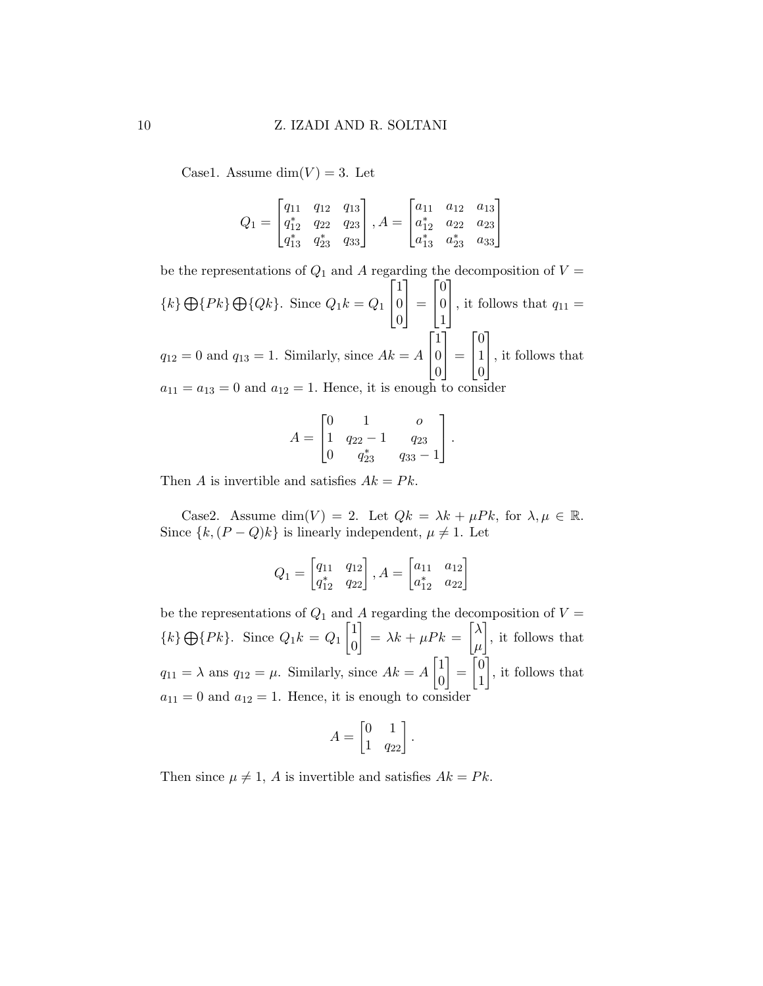Case1. Assume  $\dim(V) = 3$ . Let

$$
Q_1 = \begin{bmatrix} q_{11} & q_{12} & q_{13} \\ q_{12}^* & q_{22} & q_{23} \\ q_{13}^* & q_{23}^* & q_{33} \end{bmatrix}, A = \begin{bmatrix} a_{11} & a_{12} & a_{13} \\ a_{12}^* & a_{22} & a_{23} \\ a_{13}^* & a_{23}^* & a_{33} \end{bmatrix}
$$

be the representations of  $Q_1$  and A regarding the decomposition of  $V =$  $\{k\} \bigoplus \{Pk\} \bigoplus \{Qk\}.$  Since  $Q_1k = Q_1$  $\sqrt{ }$  $\overline{1}$ 1 0 0 1  $\vert$  =  $\sqrt{ }$  $\overline{1}$  $\overline{0}$ 0 1 1 , it follows that  $q_{11} =$  $q_{12} = 0$  and  $q_{13} = 1$ . Similarly, since  $Ak = A$  $\sqrt{ }$  $\overline{1}$ 1  $\overline{0}$  $\overline{0}$ 1  $\vert$  =  $\sqrt{ }$  $\overline{1}$  $\overline{0}$ 1  $\overline{0}$ 1 , it follows that  $a_{11} = a_{13} = 0$  and  $a_{12} = 1$ . Hence, it is enough to consider

$$
A = \begin{bmatrix} 0 & 1 & 0 \\ 1 & q_{22} - 1 & q_{23} \\ 0 & q_{23}^* & q_{33} - 1 \end{bmatrix}.
$$

Then A is invertible and satisfies  $Ak = Pk$ .

Case2. Assume dim(V) = 2. Let  $Qk = \lambda k + \mu P k$ , for  $\lambda, \mu \in \mathbb{R}$ . Since  $\{k,(P-Q)k\}$  is linearly independent,  $\mu \neq 1$ . Let

$$
Q_1 = \begin{bmatrix} q_{11} & q_{12} \\ q_{12}^* & q_{22} \end{bmatrix}, A = \begin{bmatrix} a_{11} & a_{12} \\ a_{12}^* & a_{22} \end{bmatrix}
$$

be the representations of  $Q_1$  and A regarding the decomposition of  $V =$  ${k} \bigoplus {P_k}.$  Since  $Q_1 k = Q_1 \begin{bmatrix} 1 \\ 0 \end{bmatrix}$ 0  $= \lambda k + \mu P k = \left[\lambda\right]$  $\mu$  , it follows that  $q_{11} = \lambda$  ans  $q_{12} = \mu$ . Similarly, since  $Ak = A\begin{bmatrix} 1 \\ 0 \end{bmatrix}$  $\overline{0}$  $\Big] = \Big[ \begin{smallmatrix} 0 \\ 1 \end{smallmatrix} \Big]$ 1 , it follows that  $a_{11} = 0$  and  $a_{12} = 1$ . Hence, it is enough to consider

$$
A = \begin{bmatrix} 0 & 1 \\ 1 & q_{22} \end{bmatrix}.
$$

Then since  $\mu \neq 1$ , A is invertible and satisfies  $Ak = Pk$ .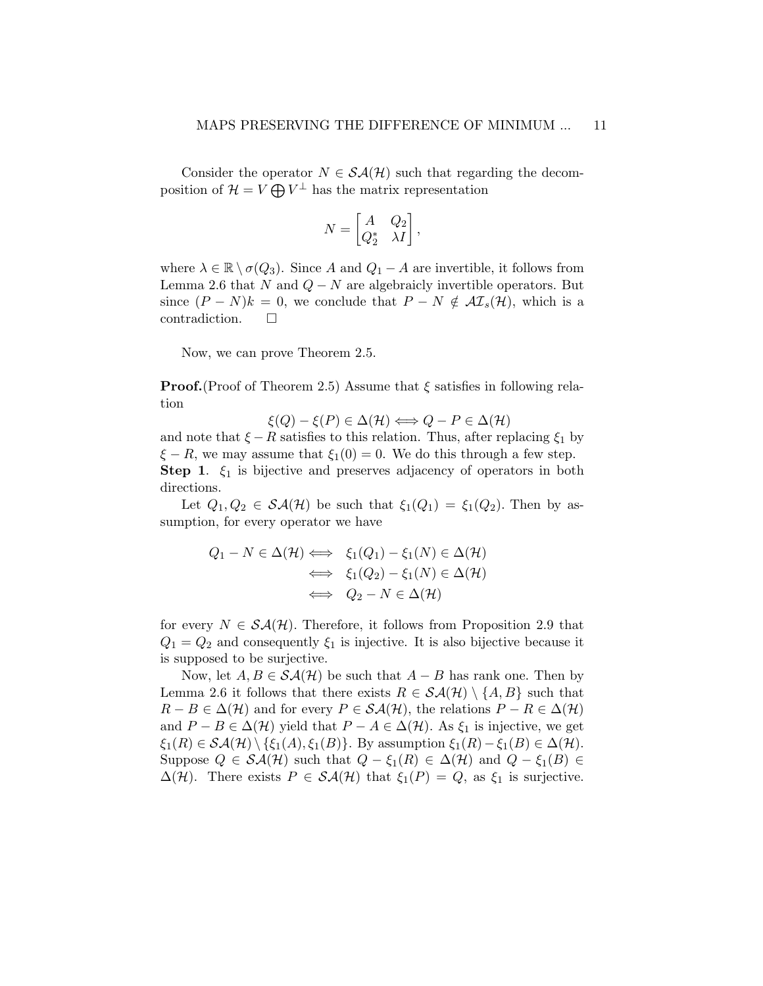Consider the operator  $N \in \mathcal{SA}(\mathcal{H})$  such that regarding the decomposition of  $\mathcal{H} = V \bigoplus V^{\perp}$  has the matrix representation

$$
N = \begin{bmatrix} A & Q_2 \\ Q_2^* & \lambda I \end{bmatrix},
$$

where  $\lambda \in \mathbb{R} \setminus \sigma(Q_3)$ . Since A and  $Q_1 - A$  are invertible, it follows from Lemma 2.6 that N and  $Q - N$  are algebraicly invertible operators. But since  $(P - N)k = 0$ , we conclude that  $P - N \notin \mathcal{AI}_s(\mathcal{H})$ , which is a contradiction.

Now, we can prove Theorem 2.5.

**Proof.**(Proof of Theorem 2.5) Assume that  $\xi$  satisfies in following relation

$$
\xi(Q) - \xi(P) \in \Delta(\mathcal{H}) \Longleftrightarrow Q - P \in \Delta(\mathcal{H})
$$

and note that  $\xi - R$  satisfies to this relation. Thus, after replacing  $\xi_1$  by  $\xi - R$ , we may assume that  $\xi_1(0) = 0$ . We do this through a few step. **Step 1.**  $\xi_1$  is bijective and preserves adjacency of operators in both directions.

Let  $Q_1, Q_2 \in \mathcal{SA}(\mathcal{H})$  be such that  $\xi_1(Q_1) = \xi_1(Q_2)$ . Then by assumption, for every operator we have

$$
Q_1 - N \in \Delta(\mathcal{H}) \iff \xi_1(Q_1) - \xi_1(N) \in \Delta(\mathcal{H})
$$
  

$$
\iff \xi_1(Q_2) - \xi_1(N) \in \Delta(\mathcal{H})
$$
  

$$
\iff Q_2 - N \in \Delta(\mathcal{H})
$$

for every  $N \in \mathcal{SA}(\mathcal{H})$ . Therefore, it follows from Proposition 2.9 that  $Q_1 = Q_2$  and consequently  $\xi_1$  is injective. It is also bijective because it is supposed to be surjective.

Now, let  $A, B \in \mathcal{SA}(\mathcal{H})$  be such that  $A - B$  has rank one. Then by Lemma 2.6 it follows that there exists  $R \in \mathcal{SA}(\mathcal{H}) \setminus \{A, B\}$  such that  $R - B \in \Delta(\mathcal{H})$  and for every  $P \in \mathcal{SA}(\mathcal{H})$ , the relations  $P - R \in \Delta(\mathcal{H})$ and  $P - B \in \Delta(\mathcal{H})$  yield that  $P - A \in \Delta(\mathcal{H})$ . As  $\xi_1$  is injective, we get  $\xi_1(R) \in \mathcal{SA}(\mathcal{H}) \setminus {\{\xi_1(A),\xi_1(B)\}}$ . By assumption  $\xi_1(R) - \xi_1(B) \in \Delta(\mathcal{H})$ . Suppose  $Q \in \mathcal{SA}(\mathcal{H})$  such that  $Q - \xi_1(R) \in \Delta(\mathcal{H})$  and  $Q - \xi_1(B) \in$  $\Delta(\mathcal{H})$ . There exists  $P \in \mathcal{SA}(\mathcal{H})$  that  $\xi_1(P) = Q$ , as  $\xi_1$  is surjective.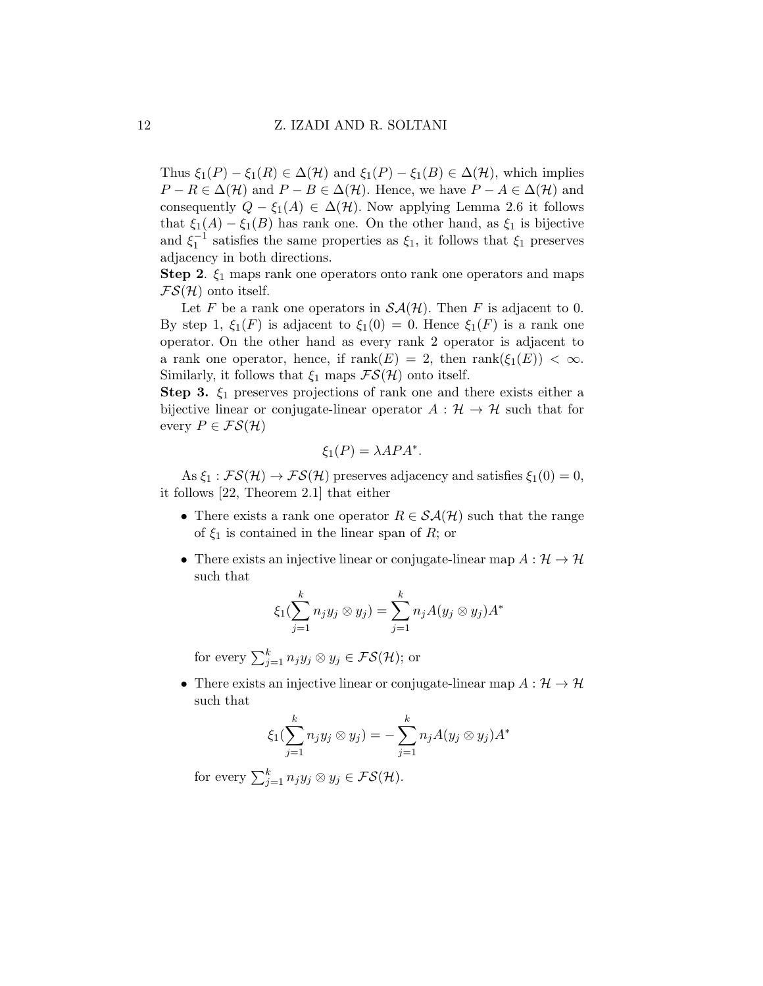Thus  $\xi_1(P) - \xi_1(R) \in \Delta(\mathcal{H})$  and  $\xi_1(P) - \xi_1(B) \in \Delta(\mathcal{H})$ , which implies  $P - R \in \Delta(\mathcal{H})$  and  $P - B \in \Delta(\mathcal{H})$ . Hence, we have  $P - A \in \Delta(\mathcal{H})$  and consequently  $Q - \xi_1(A) \in \Delta(\mathcal{H})$ . Now applying Lemma 2.6 it follows that  $\xi_1(A) - \xi_1(B)$  has rank one. On the other hand, as  $\xi_1$  is bijective and  $\xi_1^{-1}$  satisfies the same properties as  $\xi_1$ , it follows that  $\xi_1$  preserves adjacency in both directions.

**Step 2.**  $\xi_1$  maps rank one operators onto rank one operators and maps  $FS(\mathcal{H})$  onto itself.

Let F be a rank one operators in  $\mathcal{SA}(\mathcal{H})$ . Then F is adjacent to 0. By step 1,  $\xi_1(F)$  is adjacent to  $\xi_1(0) = 0$ . Hence  $\xi_1(F)$  is a rank one operator. On the other hand as every rank 2 operator is adjacent to a rank one operator, hence, if  $\text{rank}(E) = 2$ , then  $\text{rank}(\xi_1(E)) < \infty$ . Similarly, it follows that  $\xi_1$  maps  $\mathcal{FS}(\mathcal{H})$  onto itself.

Step 3.  $\xi_1$  preserves projections of rank one and there exists either a bijective linear or conjugate-linear operator  $A: \mathcal{H} \to \mathcal{H}$  such that for every  $P \in \mathcal{FS}(\mathcal{H})$ 

$$
\xi_1(P) = \lambda A P A^*.
$$

As  $\xi_1$ :  $\mathcal{FS}(\mathcal{H}) \to \mathcal{FS}(\mathcal{H})$  preserves adjacency and satisfies  $\xi_1(0) = 0$ , it follows [22, Theorem 2.1] that either

- There exists a rank one operator  $R \in \mathcal{SA}(\mathcal{H})$  such that the range of  $\xi_1$  is contained in the linear span of R; or
- There exists an injective linear or conjugate-linear map  $A: \mathcal{H} \to \mathcal{H}$ such that

$$
\xi_1(\sum_{j=1}^k n_j y_j \otimes y_j) = \sum_{j=1}^k n_j A(y_j \otimes y_j) A^*
$$

for every  $\sum_{j=1}^{k} n_j y_j \otimes y_j \in \mathcal{FS}(\mathcal{H});$  or

• There exists an injective linear or conjugate-linear map  $A: \mathcal{H} \to \mathcal{H}$ such that

$$
\xi_1(\sum_{j=1}^k n_j y_j \otimes y_j) = -\sum_{j=1}^k n_j A(y_j \otimes y_j) A^*
$$

for every  $\sum_{j=1}^{k} n_j y_j \otimes y_j \in \mathcal{FS}(\mathcal{H})$ .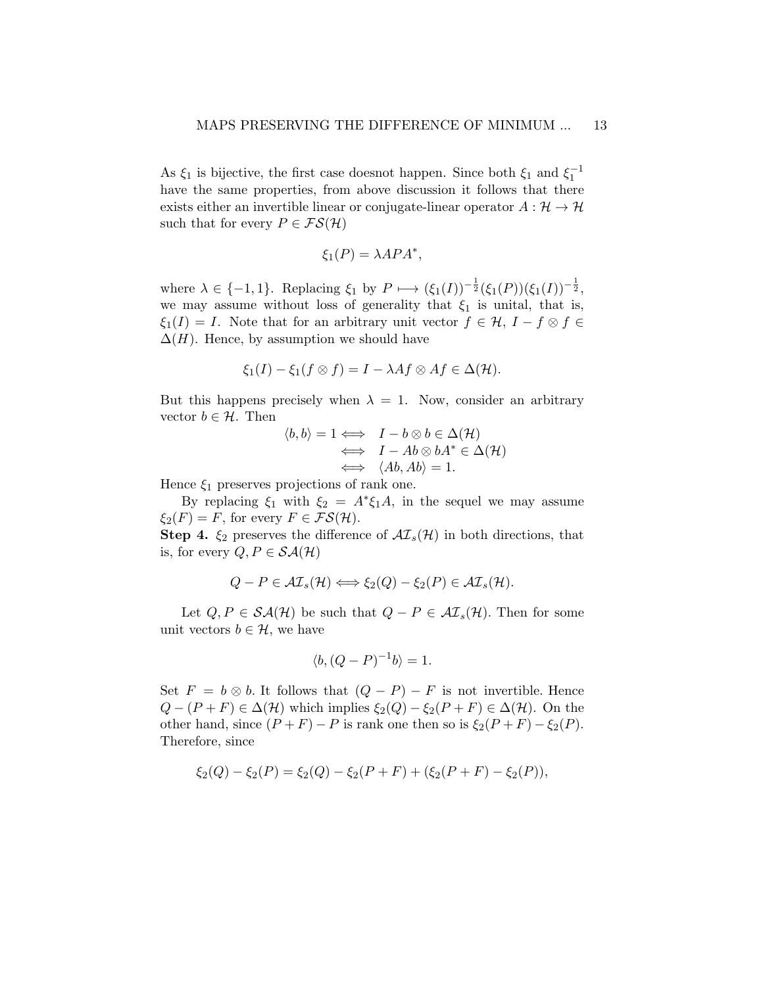As  $\xi_1$  is bijective, the first case does<br>not happen. Since both  $\xi_1$  and  $\xi_1^{-1}$ have the same properties, from above discussion it follows that there exists either an invertible linear or conjugate-linear operator  $A: \mathcal{H} \to \mathcal{H}$ such that for every  $P \in \mathcal{FS}(\mathcal{H})$ 

$$
\xi_1(P) = \lambda A P A^*,
$$

where  $\lambda \in \{-1,1\}$ . Replacing  $\xi_1$  by  $P \longmapsto (\xi_1(I))^{-\frac{1}{2}}(\xi_1(P))(\xi_1(I))^{-\frac{1}{2}}$ , we may assume without loss of generality that  $\xi_1$  is unital, that is,  $\xi_1(I) = I$ . Note that for an arbitrary unit vector  $f \in \mathcal{H}$ ,  $I - f \otimes f \in$  $\Delta(H)$ . Hence, by assumption we should have

$$
\xi_1(I) - \xi_1(f \otimes f) = I - \lambda Af \otimes Af \in \Delta(\mathcal{H}).
$$

But this happens precisely when  $\lambda = 1$ . Now, consider an arbitrary vector  $b \in \mathcal{H}$ . Then

$$
\langle b, b \rangle = 1 \iff I - b \otimes b \in \Delta(\mathcal{H})
$$
  

$$
\iff I - Ab \otimes bA^* \in \Delta(\mathcal{H})
$$
  

$$
\iff \langle Ab, Ab \rangle = 1.
$$

Hence  $\xi_1$  preserves projections of rank one.

By replacing  $\xi_1$  with  $\xi_2 = A^* \xi_1 A$ , in the sequel we may assume  $\xi_2(F) = F$ , for every  $F \in \mathcal{FS}(\mathcal{H})$ .

**Step 4.**  $\xi_2$  preserves the difference of  $\mathcal{AI}_s(\mathcal{H})$  in both directions, that is, for every  $Q, P \in \mathcal{SA}(\mathcal{H})$ 

$$
Q - P \in \mathcal{AI}_s(\mathcal{H}) \Longleftrightarrow \xi_2(Q) - \xi_2(P) \in \mathcal{AI}_s(\mathcal{H}).
$$

Let  $Q, P \in \mathcal{SA}(\mathcal{H})$  be such that  $Q - P \in \mathcal{AI}_s(\mathcal{H})$ . Then for some unit vectors  $b \in \mathcal{H}$ , we have

$$
\langle b, (Q - P)^{-1}b \rangle = 1.
$$

Set  $F = b \otimes b$ . It follows that  $(Q - P) - F$  is not invertible. Hence  $Q - (P + F) \in \Delta(\mathcal{H})$  which implies  $\xi_2(Q) - \xi_2(P + F) \in \Delta(\mathcal{H})$ . On the other hand, since  $(P+F) - P$  is rank one then so is  $\xi_2(P+F) - \xi_2(P)$ . Therefore, since

$$
\xi_2(Q) - \xi_2(P) = \xi_2(Q) - \xi_2(P + F) + (\xi_2(P + F) - \xi_2(P)),
$$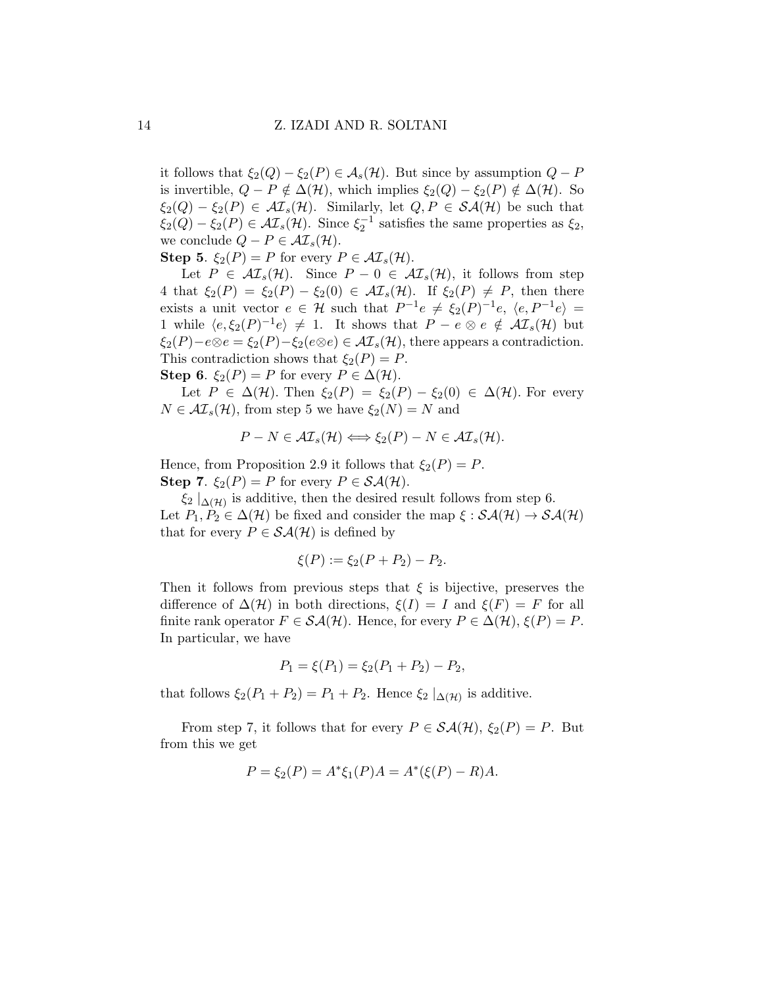it follows that  $\xi_2(Q) - \xi_2(P) \in \mathcal{A}_s(\mathcal{H})$ . But since by assumption  $Q - P$ is invertible,  $Q - P \notin \Delta(\mathcal{H})$ , which implies  $\xi_2(Q) - \xi_2(P) \notin \Delta(\mathcal{H})$ . So  $\xi_2(Q) - \xi_2(P) \in \mathcal{AI}_s(\mathcal{H})$ . Similarly, let  $Q, P \in \mathcal{SA}(\mathcal{H})$  be such that  $\xi_2(Q) - \xi_2(P) \in \mathcal{AI}_s(\mathcal{H})$ . Since  $\xi_2^{-1}$  satisfies the same properties as  $\xi_2$ , we conclude  $Q - P \in \mathcal{AI}_s(\mathcal{H})$ .

**Step 5.**  $\xi_2(P) = P$  for every  $P \in \mathcal{AI}_s(\mathcal{H})$ .

Let  $P \in \mathcal{AI}_s(\mathcal{H})$ . Since  $P - 0 \in \mathcal{AI}_s(\mathcal{H})$ , it follows from step 4 that  $\xi_2(P) = \xi_2(P) - \xi_2(0) \in \mathcal{AI}_s(\mathcal{H})$ . If  $\xi_2(P) \neq P$ , then there exists a unit vector  $e \in \mathcal{H}$  such that  $P^{-1}e \neq \xi_2(P)^{-1}e$ ,  $\langle e, P^{-1}e \rangle =$ 1 while  $\langle e, \xi_2(P)^{-1}e \rangle \neq 1$ . It shows that  $P - e \otimes e \notin \mathcal{AI}_s(\mathcal{H})$  but  $\xi_2(P)-e\otimes e=\xi_2(P)-\xi_2(e\otimes e)\in \mathcal{AI}_s(\mathcal{H})$ , there appears a contradiction. This contradiction shows that  $\xi_2(P) = P$ . **Step 6.**  $\xi_2(P) = P$  for every  $P \in \Delta(\mathcal{H})$ .

Let  $P \in \Delta(\mathcal{H})$ . Then  $\xi_2(P) = \xi_2(P) - \xi_2(0) \in \Delta(\mathcal{H})$ . For every  $N \in \mathcal{AI}_s(\mathcal{H})$ , from step 5 we have  $\xi_2(N) = N$  and

$$
P - N \in \mathcal{AI}_s(\mathcal{H}) \Longleftrightarrow \xi_2(P) - N \in \mathcal{AI}_s(\mathcal{H}).
$$

Hence, from Proposition 2.9 it follows that  $\xi_2(P) = P$ . **Step 7.**  $\xi_2(P) = P$  for every  $P \in \mathcal{SA}(\mathcal{H})$ .

 $\xi_2 |_{\Delta(\mathcal{H})}$  is additive, then the desired result follows from step 6. Let  $P_1, P_2 \in \Delta(\mathcal{H})$  be fixed and consider the map  $\xi : \mathcal{SA}(\mathcal{H}) \to \mathcal{SA}(\mathcal{H})$ that for every  $P \in \mathcal{SA}(\mathcal{H})$  is defined by

$$
\xi(P) := \xi_2(P + P_2) - P_2.
$$

Then it follows from previous steps that  $\xi$  is bijective, preserves the difference of  $\Delta(\mathcal{H})$  in both directions,  $\xi(I) = I$  and  $\xi(F) = F$  for all finite rank operator  $F \in \mathcal{SA}(\mathcal{H})$ . Hence, for every  $P \in \Delta(\mathcal{H}), \xi(P) = P$ . In particular, we have

$$
P_1 = \xi(P_1) = \xi_2(P_1 + P_2) - P_2,
$$

that follows  $\xi_2(P_1 + P_2) = P_1 + P_2$ . Hence  $\xi_2 |_{\Delta(\mathcal{H})}$  is additive.

From step 7, it follows that for every  $P \in \mathcal{SA}(\mathcal{H}), \xi_2(P) = P$ . But from this we get

$$
P = \xi_2(P) = A^* \xi_1(P) A = A^* (\xi(P) - R) A.
$$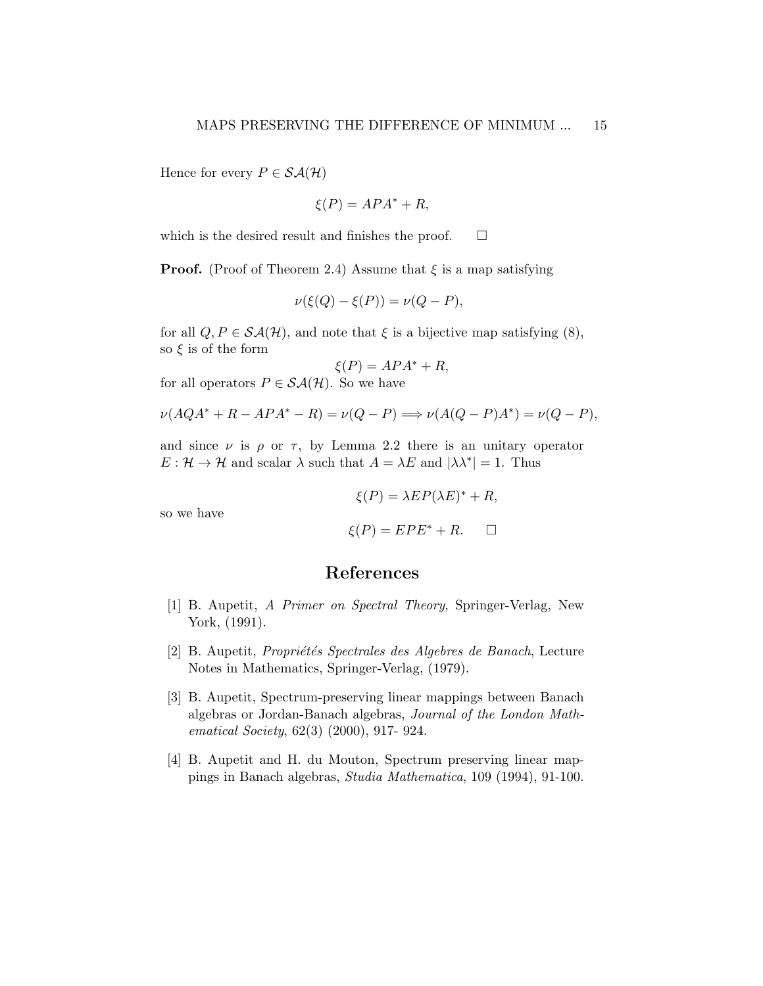Hence for every  $P \in \mathcal{SA}(\mathcal{H})$ 

$$
\xi(P) = APA^* + R,
$$

which is the desired result and finishes the proof.  $\Box$ 

**Proof.** (Proof of Theorem 2.4) Assume that  $\xi$  is a map satisfying

$$
\nu(\xi(Q) - \xi(P)) = \nu(Q - P),
$$

for all  $Q, P \in \mathcal{SA}(\mathcal{H})$ , and note that  $\xi$  is a bijective map satisfying (8), so  $\xi$  is of the form

$$
\xi(P) = APA^* + R,
$$

for all operators  $P \in \mathcal{SA}(\mathcal{H})$ . So we have

$$
\nu(AQA^* + R - APA^* - R) = \nu(Q - P) \Longrightarrow \nu(A(Q - P)A^*) = \nu(Q - P),
$$

and since  $\nu$  is  $\rho$  or  $\tau$ , by Lemma 2.2 there is an unitary operator  $E: \mathcal{H} \to \mathcal{H}$  and scalar  $\lambda$  such that  $A = \lambda E$  and  $|\lambda \lambda^*| = 1$ . Thus

$$
\xi(P) = \lambda EP(\lambda E)^* + R,
$$
  

$$
\xi(P) = EPE^* + R. \quad \Box
$$

so we have

$$
\xi(P) = EPE^+ + R.
$$

### References

- [1] B. Aupetit, A Primer on Spectral Theory, Springer-Verlag, New York, (1991).
- [2] B. Aupetit, Propriétés Spectrales des Algebres de Banach, Lecture Notes in Mathematics, Springer-Verlag, (1979).
- [3] B. Aupetit, Spectrum-preserving linear mappings between Banach algebras or Jordan-Banach algebras, Journal of the London Mathematical Society, 62(3) (2000), 917- 924.
- [4] B. Aupetit and H. du Mouton, Spectrum preserving linear mappings in Banach algebras, Studia Mathematica, 109 (1994), 91-100.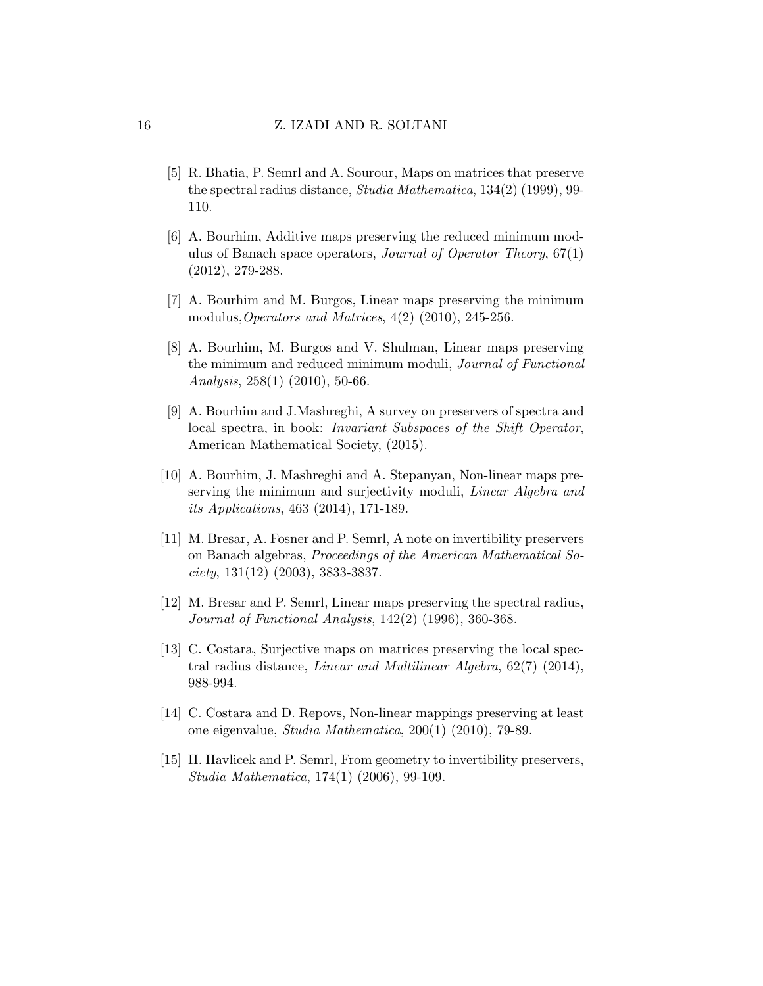- [5] R. Bhatia, P. Semrl and A. Sourour, Maps on matrices that preserve the spectral radius distance, Studia Mathematica, 134(2) (1999), 99- 110.
- [6] A. Bourhim, Additive maps preserving the reduced minimum modulus of Banach space operators, *Journal of Operator Theory*,  $67(1)$ (2012), 279-288.
- [7] A. Bourhim and M. Burgos, Linear maps preserving the minimum modulus, Operators and Matrices,  $4(2)$  (2010), 245-256.
- [8] A. Bourhim, M. Burgos and V. Shulman, Linear maps preserving the minimum and reduced minimum moduli, Journal of Functional Analysis, 258(1) (2010), 50-66.
- [9] A. Bourhim and J.Mashreghi, A survey on preservers of spectra and local spectra, in book: Invariant Subspaces of the Shift Operator, American Mathematical Society, (2015).
- [10] A. Bourhim, J. Mashreghi and A. Stepanyan, Non-linear maps preserving the minimum and surjectivity moduli, *Linear Algebra and* its Applications, 463 (2014), 171-189.
- [11] M. Bresar, A. Fosner and P. Semrl, A note on invertibility preservers on Banach algebras, Proceedings of the American Mathematical So $ciety, 131(12)$  (2003), 3833-3837.
- [12] M. Bresar and P. Semrl, Linear maps preserving the spectral radius, Journal of Functional Analysis, 142(2) (1996), 360-368.
- [13] C. Costara, Surjective maps on matrices preserving the local spectral radius distance, Linear and Multilinear Algebra, 62(7) (2014), 988-994.
- [14] C. Costara and D. Repovs, Non-linear mappings preserving at least one eigenvalue, Studia Mathematica, 200(1) (2010), 79-89.
- [15] H. Havlicek and P. Semrl, From geometry to invertibility preservers, Studia Mathematica, 174(1) (2006), 99-109.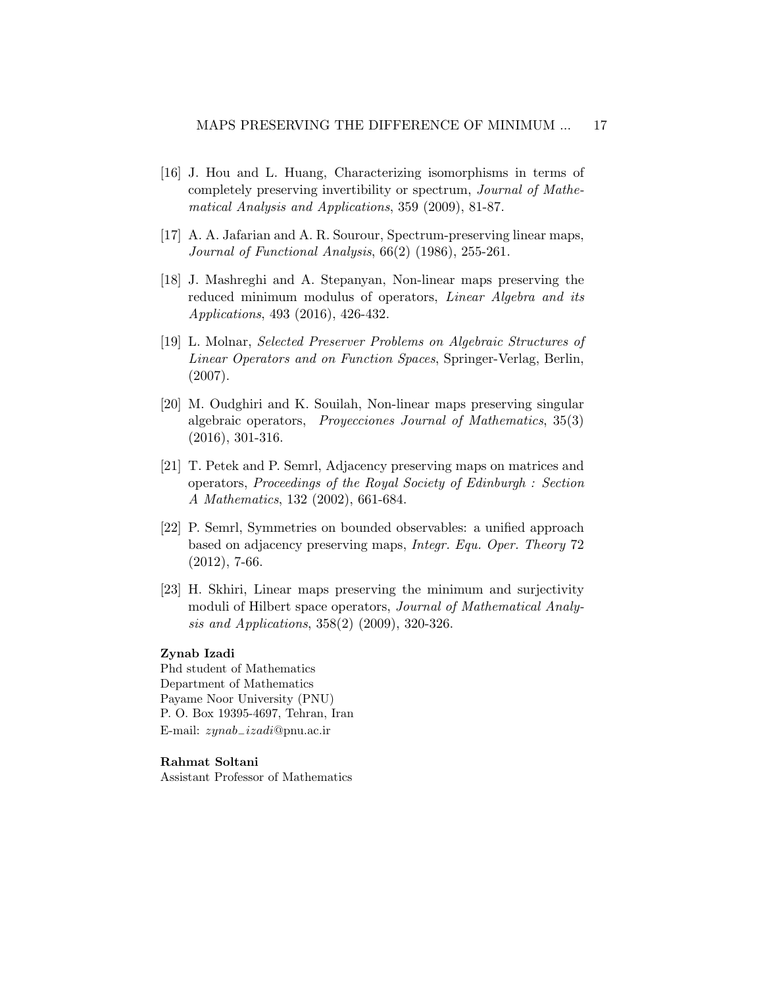- [16] J. Hou and L. Huang, Characterizing isomorphisms in terms of completely preserving invertibility or spectrum, Journal of Mathematical Analysis and Applications, 359 (2009), 81-87.
- [17] A. A. Jafarian and A. R. Sourour, Spectrum-preserving linear maps, Journal of Functional Analysis, 66(2) (1986), 255-261.
- [18] J. Mashreghi and A. Stepanyan, Non-linear maps preserving the reduced minimum modulus of operators, Linear Algebra and its Applications, 493 (2016), 426-432.
- [19] L. Molnar, Selected Preserver Problems on Algebraic Structures of Linear Operators and on Function Spaces, Springer-Verlag, Berlin, (2007).
- [20] M. Oudghiri and K. Souilah, Non-linear maps preserving singular algebraic operators, Proyecciones Journal of Mathematics, 35(3) (2016), 301-316.
- [21] T. Petek and P. Semrl, Adjacency preserving maps on matrices and operators, Proceedings of the Royal Society of Edinburgh : Section A Mathematics, 132 (2002), 661-684.
- [22] P. Semrl, Symmetries on bounded observables: a unified approach based on adjacency preserving maps, Integr. Equ. Oper. Theory 72 (2012), 7-66.
- [23] H. Skhiri, Linear maps preserving the minimum and surjectivity moduli of Hilbert space operators, Journal of Mathematical Analysis and Applications, 358(2) (2009), 320-326.

### Zynab Izadi

Phd student of Mathematics Department of Mathematics Payame Noor University (PNU) P. O. Box 19395-4697, Tehran, Iran E-mail: zynab−izadi@pnu.ac.ir

### Rahmat Soltani

Assistant Professor of Mathematics